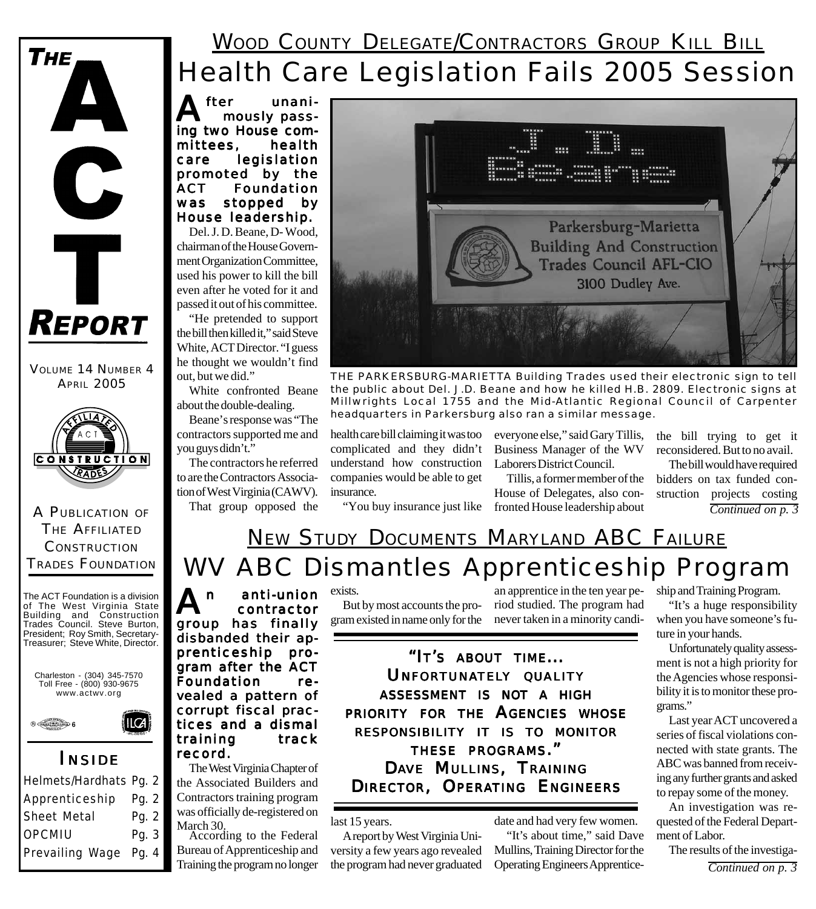### Health Care Legislation Fails 2005 Session **WOOD COUNTY DELEGATE/CONTRACTORS GROUP KILL BILL**

**A**fter unani-<br>
mously passing two House committees, health care legislation promoted by the ACT Foundation was stopped by House leadership.

Del. J. D. Beane, D- Wood, chairman of the House Government Organization Committee, used his power to kill the bill even after he voted for it and passed it out of his committee.

"He pretended to support the bill then killed it," said Steve White, ACT Director. "I guess he thought we wouldn't find out, but we did."

White confronted Beane about the double-dealing.

Beane's response was "The contractors supported me and you guys didn't."

The contractors he referred to are the Contractors Association of West Virginia (CAWV). That group opposed the



APRIL 2005 **THE PARKERSBURG-MARIETTA Building Trades used their electronic sign to tell**<br>APRIL 2005 *the public about Del. J.D. Beane and how he killed H.B. 2809. Electronic signs at Millwrights Local 1755 and the Mid-Atlantic Regional Council of Carpenter headquarters in Parkersburg also ran a similar message.*

health care bill claiming it was too complicated and they didn't understand how construction companies would be able to get insurance.

"You buy insurance just like

everyone else," said Gary Tillis, Business Manager of the WV Laborers District Council.

Tillis, a former member of the House of Delegates, also confronted House leadership about

the bill trying to get it reconsidered. But to no avail.

The bill would have required bidders on tax funded construction projects costing *Continued on p. 3*

### WV ABC Dismantles Apprenticeship Program NEW STUDY DOCUMENTS MARYLAND ABC FAILURE

Treasurer; Steve White, Director. A<sup>n</sup> anti-union contractor group has finally disbanded their apprenticeship program after the ACT Foundation revealed a pattern of corrupt fiscal practices and a dismal training track record.

> The West Virginia Chapter of the Associated Builders and Contractors training program was officially de-registered on March 30.

According to the Federal Bureau of Apprenticeship and Training the program no longer

exists.

But by most accounts the program existed in name only for the never taken in a minority candi-

an apprentice in the ten year period studied. The program had

*"IT'S ABOUT TIME... UNFORTUNATELY QUALITY ASSESSMENT IS NOT A HIGH PRIORITY FOR THE AGENCIES WHOSE RESPONSIBILITY IT IS TO MONITOR THESE PROGRAMS." DAVE MULLINS, TRAINING DIRECTOR, OPERATING ENGINEERS*

last 15 years.

A report by West Virginia University a few years ago revealed the program had never graduated

date and had very few women. "It's about time," said Dave Mullins, Training Director for the Operating Engineers Apprenticeship and Training Program.

"It's a huge responsibility when you have someone's future in your hands.

Unfortunately quality assessment is not a high priority for the Agencies whose responsibility it is to monitor these programs."

Last year ACT uncovered a series of fiscal violations connected with state grants. The ABC was banned from receiving any further grants and asked to repay some of the money.

An investigation was requested of the Federal Department of Labor.

The results of the investiga- *Continued on p. 3*

TRADES FOUNDATION The ACT Foundation is a division of The West Virginia State Building and Construction Trades Council. Steve Burton, President; Roy Smith, Secretary-



A PUBLICATION OF THE AFFILIATED **CONSTRUCTION** 

**CONSTRUCTION RADE** 

VOLUME 14 NUMBER 4

**REPORT** 

 $\mathbf C$ 

**THE** 



#### *I NSIDE*

| Pg. 2 |  |
|-------|--|
| Pg. 2 |  |
| Pg. 3 |  |
| Pg. 4 |  |
|       |  |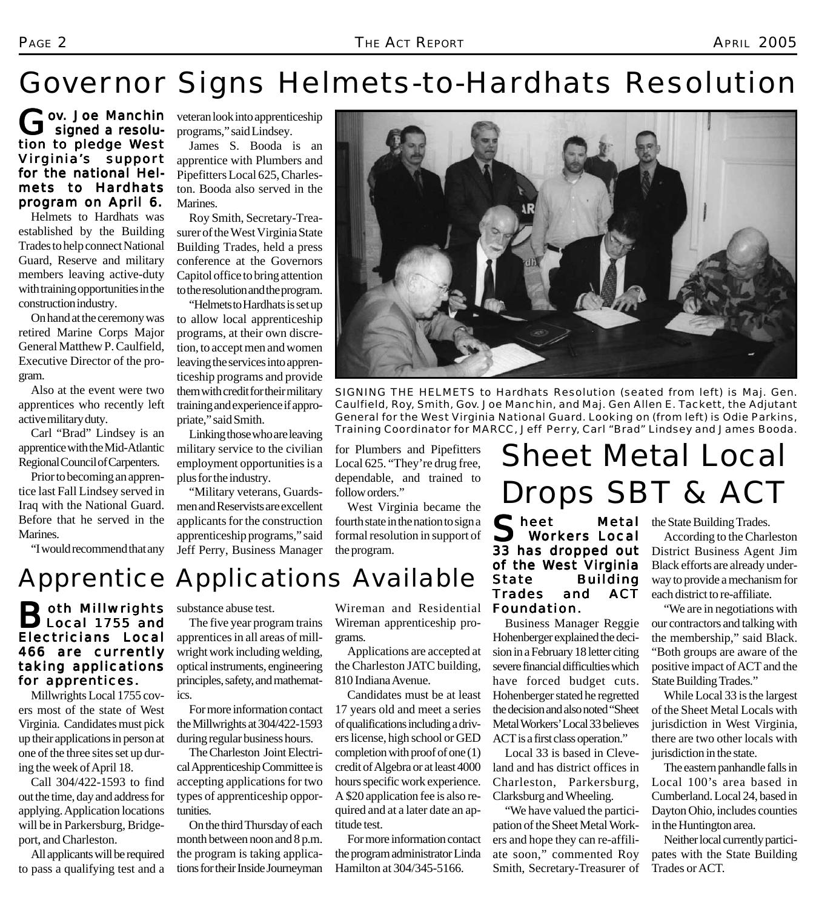# Governor Signs Helmets-to-Hardhats Resolution

**Lov. Joe Manchin** signed a resolution to pledge West Virginia's support for the national Helmets to Hardhats program on April 6.

Helmets to Hardhats was established by the Building Trades to help connect National Guard, Reserve and military members leaving active-duty with training opportunities in the construction industry.

On hand at the ceremony was retired Marine Corps Major General Matthew P. Caulfield, Executive Director of the program.

Also at the event were two apprentices who recently left active military duty.

Carl "Brad" Lindsey is an apprentice with the Mid-Atlantic Regional Council of Carpenters.

Prior to becoming an apprentice last Fall Lindsey served in Iraq with the National Guard. Before that he served in the Marines.

"I would recommend that any

veteran look into apprenticeship programs," said Lindsey.

James S. Booda is an apprentice with Plumbers and Pipefitters Local 625, Charleston. Booda also served in the Marines.

Roy Smith, Secretary-Treasurer of the West Virginia State Building Trades, held a press conference at the Governors Capitol office to bring attention to the resolution and the program.

"Helmets to Hardhats is set up to allow local apprenticeship programs, at their own discretion, to accept men and women leaving the services into apprenticeship programs and provide them with credit for their military training and experience if appropriate," said Smith.

Linking those who are leaving military service to the civilian employment opportunities is a plus for the industry.

"Military veterans, Guardsmen and Reservists are excellent applicants for the construction apprenticeship programs," said Jeff Perry, Business Manager *SIGNING THE HELMETS to Hardhats Resolution (seated from left) is Maj. Gen.*

*Caulfield, Roy, Smith, Gov. Joe Manchin, and Maj. Gen Allen E. Tackett, the Adjutant General for the West Virginia National Guard. Looking on (from left) is Odie Parkins, Training Coordinator for MARCC, Jeff Perry, Carl "Brad" Lindsey and James Booda.*

for Plumbers and Pipefitters Local 625. "They're drug free, dependable, and trained to follow orders."

West Virginia became the fourth state in the nation to sign a formal resolution in support of the program.

# Sheet Metal Local Drops SBT & ACT

Sheet Metal<br>Workers Local 33 has dropped out of the West Virginia State Building Trades and ACT Foundation.

Business Manager Reggie Hohenberger explained the decision in a February 18 letter citing severe financial difficulties which have forced budget cuts. Hohenberger stated he regretted the decision and also noted "Sheet Metal Workers' Local 33 believes ACT is a first class operation."

Local 33 is based in Cleveland and has district offices in Charleston, Parkersburg, Clarksburg and Wheeling.

"We have valued the participation of the Sheet Metal Workers and hope they can re-affiliate soon," commented Roy Smith, Secretary-Treasurer of the State Building Trades.

According to the Charleston District Business Agent Jim Black efforts are already underway to provide a mechanism for each district to re-affiliate.

"We are in negotiations with our contractors and talking with the membership," said Black. "Both groups are aware of the positive impact of ACT and the State Building Trades."

While Local 33 is the largest of the Sheet Metal Locals with jurisdiction in West Virginia, there are two other locals with jurisdiction in the state.

The eastern panhandle falls in Local 100's area based in Cumberland. Local 24, based in Dayton Ohio, includes counties in the Huntington area.

Neither local currently participates with the State Building Trades or ACT.

### Apprentice Applications Available

#### **Both Millwrights**<br>**BLocal 1755 and** Electricians Local Local 466 are currently taking applications for apprentices.

Millwrights Local 1755 covers most of the state of West Virginia. Candidates must pick up their applications in person at one of the three sites set up during the week of April 18.

Call 304/422-1593 to find out the time, day and address for applying. Application locations will be in Parkersburg, Bridgeport, and Charleston.

All applicants will be required to pass a qualifying test and a substance abuse test.

The five year program trains apprentices in all areas of millwright work including welding, optical instruments, engineering principles, safety, and mathematics.

For more information contact the Millwrights at 304/422-1593 during regular business hours.

The Charleston Joint Electrical Apprenticeship Committee is accepting applications for two types of apprenticeship opportunities.

On the third Thursday of each month between noon and 8 p.m. the program is taking applications for their Inside Journeyman

Wireman and Residential Wireman apprenticeship programs.

Applications are accepted at the Charleston JATC building, 810 Indiana Avenue.

Candidates must be at least 17 years old and meet a series of qualifications including a drivers license, high school or GED completion with proof of one (1) credit of Algebra or at least 4000 hours specific work experience. A \$20 application fee is also required and at a later date an aptitude test.

For more information contact the program administrator Linda Hamilton at 304/345-5166.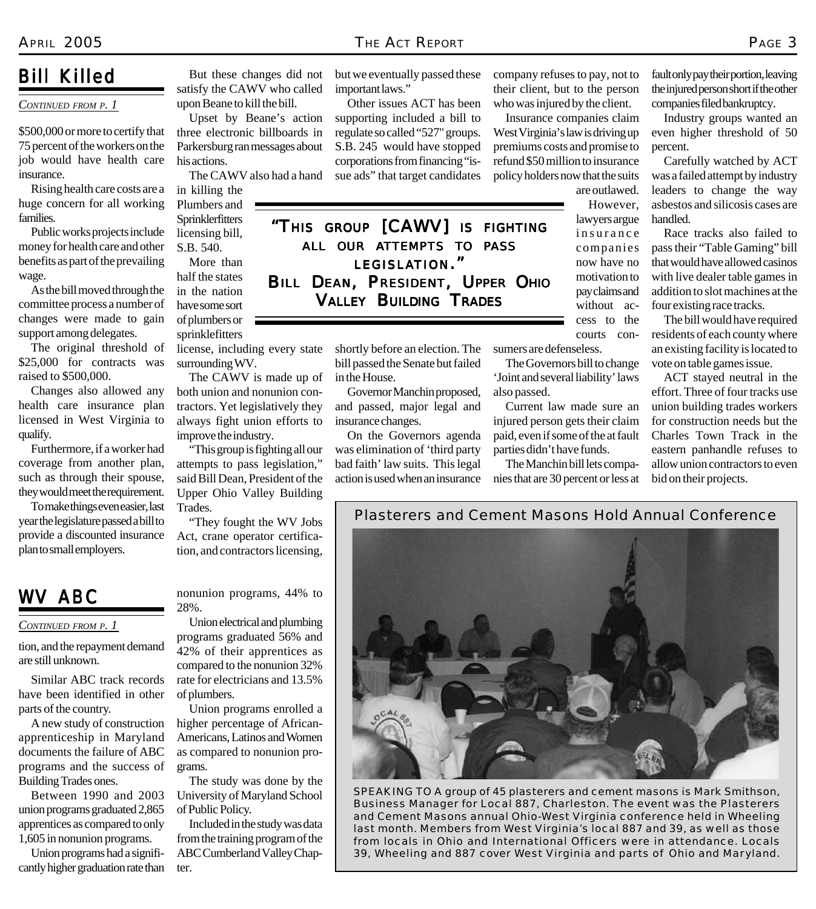#### *Bill Killed*

#### *CONTINUED FROM P. 1*

\$500,000 or more to certify that 75 percent of the workers on the job would have health care insurance.

Rising health care costs are a huge concern for all working families.

Public works projects include money for health care and other benefits as part of the prevailing wage.

As the bill moved through the committee process a number of changes were made to gain support among delegates.

The original threshold of \$25,000 for contracts was raised to \$500,000.

Changes also allowed any health care insurance plan licensed in West Virginia to qualify.

Furthermore, if a worker had coverage from another plan, such as through their spouse, they would meet the requirement.

To make things even easier, last year the legislature passed a bill to provide a discounted insurance plan to small employers.

But these changes did not satisfy the CAWV who called upon Beane to kill the bill. Upset by Beane's action

three electronic billboards in Parkersburg ran messages about his actions.

The CAWV also had a hand

in killing the Plumbers and Sprinklerfitters licensing bill, S.B. 540.

More than half the states in the nation have some sort of plumbers or sprinklefitters

license, including every state surrounding WV.

The CAWV is made up of both union and nonunion contractors. Yet legislatively they always fight union efforts to

"This group is fighting all our attempts to pass legislation," said Bill Dean, President of the Upper Ohio Valley Building

"They fought the WV Jobs Act, crane operator certification, and contractors licensing,

*WV ABC*

*CONTINUED FROM P. 1*

tion, and the repayment demand are still unknown.

Similar ABC track records have been identified in other parts of the country.

A new study of construction apprenticeship in Maryland documents the failure of ABC programs and the success of Building Trades ones.

Between 1990 and 2003 union programs graduated 2,865 apprentices as compared to only 1,605 in nonunion programs.

Union programs had a significantly higher graduation rate than improve the industry.

Trades.

nonunion programs, 44% to 28%.

Union electrical and plumbing programs graduated 56% and 42% of their apprentices as compared to the nonunion 32% rate for electricians and 13.5% of plumbers.

Union programs enrolled a higher percentage of African-Americans, Latinos and Women as compared to nonunion programs.

The study was done by the University of Maryland School of Public Policy.

Included in the study was data from the training program of the ABC Cumberland Valley Chapter.

but we eventually passed these important laws."

Other issues ACT has been supporting included a bill to regulate so called "527" groups. S.B. 245 would have stopped corporations from financing "issue ads" that target candidates

*"THIS GROUP [CAWV] IS FIGHTING ALL OUR ATTEMPTS TO PASS LEGISLATION." BILL DEAN, PRESIDENT, UPPER OHIO VALLEY BUILDING TRADES*

> shortly before an election. The bill passed the Senate but failed in the House.

Governor Manchin proposed, and passed, major legal and insurance changes.

On the Governors agenda was elimination of 'third party bad faith' law suits. This legal action is used when an insurance company refuses to pay, not to their client, but to the person who was injured by the client.

Insurance companies claim West Virginia's law is driving up premiums costs and promise to refund \$50 million to insurance policy holders now that the suits are outlawed.

> However, lawyers argue insurance companies now have no motivation to pay claims and without access to the courts con-

sumers are defenseless.

The Governors bill to change 'Joint and several liability' laws also passed.

Current law made sure an injured person gets their claim paid, even if some of the at fault parties didn't have funds.

The Manchin bill lets companies that are 30 percent or less at fault only pay their portion, leaving the injured person short if the other companies filed bankruptcy.

Industry groups wanted an even higher threshold of 50 percent.

Carefully watched by ACT was a failed attempt by industry leaders to change the way asbestos and silicosis cases are handled.

Race tracks also failed to pass their "Table Gaming" bill that would have allowed casinos with live dealer table games in addition to slot machines at the four existing race tracks.

The bill would have required residents of each county where an existing facility is located to vote on table games issue.

ACT stayed neutral in the effort. Three of four tracks use union building trades workers for construction needs but the Charles Town Track in the eastern panhandle refuses to allow union contractors to even bid on their projects.

Plasterers and Cement Masons Hold Annual Conference



*Business Manager for Local 887, Charleston. The event was the Plasterers and Cement Masons annual Ohio-West Virginia conference held in Wheeling last month. Members from West Virginia's local 887 and 39, as well as those from locals in Ohio and International Officers were in attendance. Locals 39, Wheeling and 887 cover West Virginia and parts of Ohio and Maryland.*